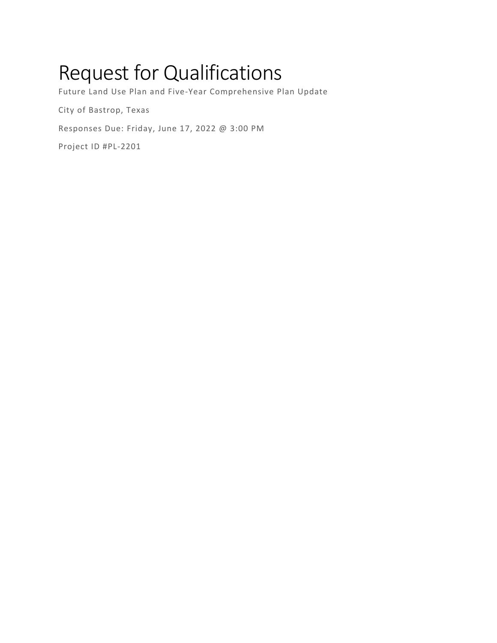# Request for Qualifications

Future Land Use Plan and Five-Year Comprehensive Plan Update

City of Bastrop, Texas

Responses Due: Friday, June 17, 2022 @ 3:00 PM

Project ID #PL-2201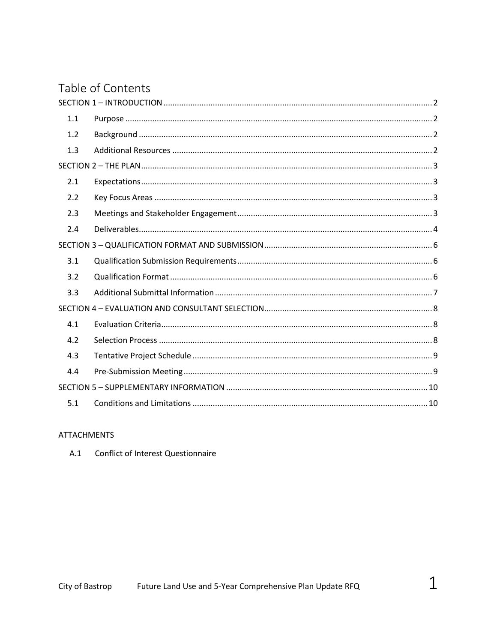# Table of Contents

| 1.1 |  |  |  |  |
|-----|--|--|--|--|
| 1.2 |  |  |  |  |
| 1.3 |  |  |  |  |
|     |  |  |  |  |
| 2.1 |  |  |  |  |
| 2.2 |  |  |  |  |
| 2.3 |  |  |  |  |
| 2.4 |  |  |  |  |
|     |  |  |  |  |
| 3.1 |  |  |  |  |
| 3.2 |  |  |  |  |
| 3.3 |  |  |  |  |
|     |  |  |  |  |
| 4.1 |  |  |  |  |
| 4.2 |  |  |  |  |
| 4.3 |  |  |  |  |
| 4.4 |  |  |  |  |
|     |  |  |  |  |
| 5.1 |  |  |  |  |

### **ATTACHMENTS**

A.1 Conflict of Interest Questionnaire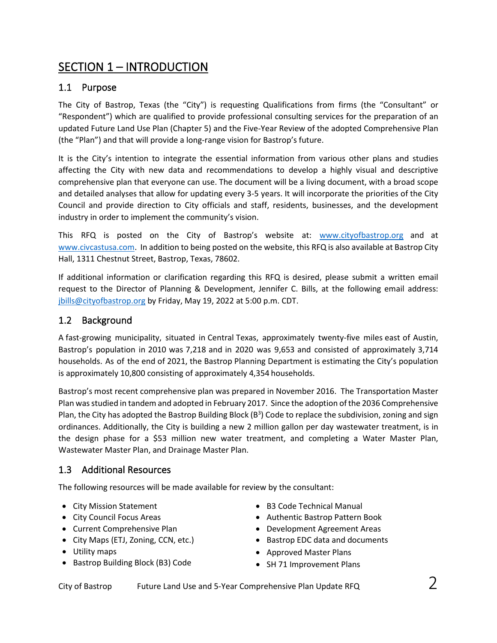# SECTION 1 – INTRODUCTION

# 1.1 Purpose

The City of Bastrop, Texas (the "City") is requesting Qualifications from firms (the "Consultant" or "Respondent") which are qualified to provide professional consulting services for the preparation of an updated Future Land Use Plan (Chapter 5) and the Five-Year Review of the adopted Comprehensive Plan (the "Plan") and that will provide a long-range vision for Bastrop's future.

It is the City's intention to integrate the essential information from various other plans and studies affecting the City with new data and recommendations to develop a highly visual and descriptive comprehensive plan that everyone can use. The document will be a living document, with a broad scope and detailed analyses that allow for updating every 3-5 years. It will incorporate the priorities of the City Council and provide direction to City officials and staff, residents, businesses, and the development industry in order to implement the community's vision.

This RFQ is posted on the City of Bastrop's website at: [www.cityofbastrop.org](http://www.cityofbastrop.org/) and at [www.civcastusa.com.](http://www.civcastusa.com/) In addition to being posted on the website, this RFQ is also available at Bastrop City Hall, 1311 Chestnut Street, Bastrop, Texas, 78602.

If additional information or clarification regarding this RFQ is desired, please submit a written email request to the Director of Planning & Development, Jennifer C. Bills, at the following email address: [jbills@cityofbastrop.org](mailto:jbills@cityofbastrop.org) by Friday, May 19, 2022 at 5:00 p.m. CDT.

### 1.2 Background

A fast-growing municipality, situated in Central Texas, approximately twenty-five miles east of Austin, Bastrop's population in 2010 was 7,218 and in 2020 was 9,653 and consisted of approximately 3,714 households. As of the end of 2021, the Bastrop Planning Department is estimating the City's population is approximately 10,800 consisting of approximately 4,354 households.

Bastrop's most recent comprehensive plan was prepared in November 2016. The Transportation Master Plan was studied in tandem and adopted in February 2017. Since the adoption of the 2036 Comprehensive Plan, the City has adopted the Bastrop Building Block (B<sup>3</sup>) Code to replace the subdivision, zoning and sign ordinances. Additionally, the City is building a new 2 million gallon per day wastewater treatment, is in the design phase for a \$53 million new water treatment, and completing a Water Master Plan, Wastewater Master Plan, and Drainage Master Plan.

# 1.3 Additional Resources

The following resources will be made available for review by the consultant:

- City Mission Statement
- City Council Focus Areas
- Current Comprehensive Plan
- City Maps (ETJ, Zoning, CCN, etc.)
- Utility maps
- Bastrop Building Block (B3) Code
- B3 Code Technical Manual
- Authentic Bastrop Pattern Book
- Development Agreement Areas
- Bastrop EDC data and documents
- Approved Master Plans
- SH 71 Improvement Plans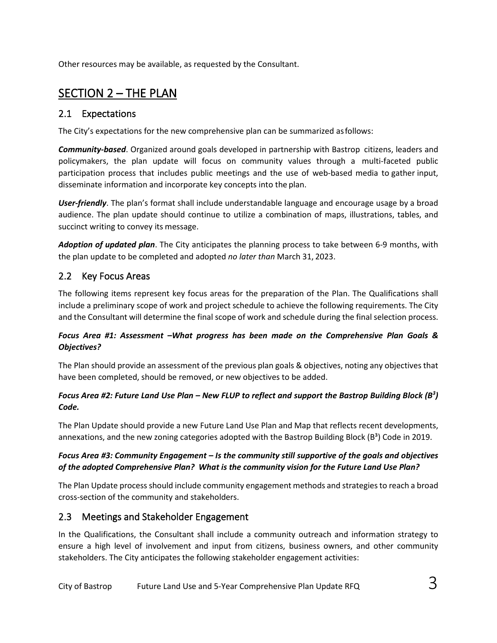Other resources may be available, as requested by the Consultant.

# SECTION 2 – THE PLAN

### 2.1 Expectations

The City's expectations for the new comprehensive plan can be summarized asfollows:

*Community-based*. Organized around goals developed in partnership with Bastrop citizens, leaders and policymakers, the plan update will focus on community values through a multi-faceted public participation process that includes public meetings and the use of web-based media to gather input, disseminate information and incorporate key concepts into the plan.

*User-friendly*. The plan's format shall include understandable language and encourage usage by a broad audience. The plan update should continue to utilize a combination of maps, illustrations, tables, and succinct writing to convey its message.

*Adoption of updated plan*. The City anticipates the planning process to take between 6-9 months, with the plan update to be completed and adopted *no later than* March 31, 2023.

# 2.2 Key Focus Areas

The following items represent key focus areas for the preparation of the Plan. The Qualifications shall include a preliminary scope of work and project schedule to achieve the following requirements. The City and the Consultant will determine the final scope of work and schedule during the final selection process.

### *Focus Area #1: Assessment –What progress has been made on the Comprehensive Plan Goals & Objectives?*

The Plan should provide an assessment of the previous plan goals & objectives, noting any objectives that have been completed, should be removed, or new objectives to be added.

### *Focus Area #2: Future Land Use Plan – New FLUP to reflect and support the Bastrop Building Block (B3 ) Code.*

The Plan Update should provide a new Future Land Use Plan and Map that reflects recent developments, annexations, and the new zoning categories adopted with the Bastrop Building Block ( $B<sup>3</sup>$ ) Code in 2019.

### *Focus Area #3: Community Engagement – Is the community still supportive of the goals and objectives of the adopted Comprehensive Plan? What is the community vision for the Future Land Use Plan?*

The Plan Update process should include community engagement methods and strategies to reach a broad cross-section of the community and stakeholders.

# 2.3 Meetings and Stakeholder Engagement

In the Qualifications, the Consultant shall include a community outreach and information strategy to ensure a high level of involvement and input from citizens, business owners, and other community stakeholders. The City anticipates the following stakeholder engagement activities: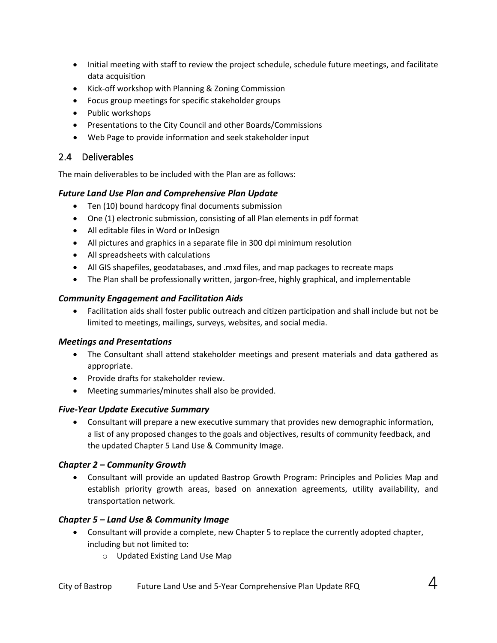- Initial meeting with staff to review the project schedule, schedule future meetings, and facilitate data acquisition
- Kick-off workshop with Planning & Zoning Commission
- Focus group meetings for specific stakeholder groups
- Public workshops
- Presentations to the City Council and other Boards/Commissions
- Web Page to provide information and seek stakeholder input

### 2.4 Deliverables

The main deliverables to be included with the Plan are as follows:

### *Future Land Use Plan and Comprehensive Plan Update*

- Ten (10) bound hardcopy final documents submission
- One (1) electronic submission, consisting of all Plan elements in pdf format
- All editable files in Word or InDesign
- All pictures and graphics in a separate file in 300 dpi minimum resolution
- All spreadsheets with calculations
- All GIS shapefiles, geodatabases, and .mxd files, and map packages to recreate maps
- The Plan shall be professionally written, jargon-free, highly graphical, and implementable

### *Community Engagement and Facilitation Aids*

• Facilitation aids shall foster public outreach and citizen participation and shall include but not be limited to meetings, mailings, surveys, websites, and social media.

### *Meetings and Presentations*

- The Consultant shall attend stakeholder meetings and present materials and data gathered as appropriate.
- Provide drafts for stakeholder review.
- Meeting summaries/minutes shall also be provided.

### *Five-Year Update Executive Summary*

• Consultant will prepare a new executive summary that provides new demographic information, a list of any proposed changes to the goals and objectives, results of community feedback, and the updated Chapter 5 Land Use & Community Image.

### *Chapter 2 – Community Growth*

• Consultant will provide an updated Bastrop Growth Program: Principles and Policies Map and establish priority growth areas, based on annexation agreements, utility availability, and transportation network.

### *Chapter 5 – Land Use & Community Image*

- Consultant will provide a complete, new Chapter 5 to replace the currently adopted chapter, including but not limited to:
	- o Updated Existing Land Use Map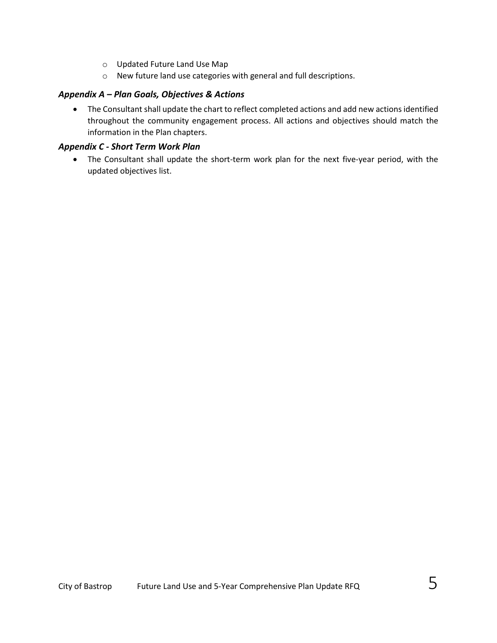- o Updated Future Land Use Map
- o New future land use categories with general and full descriptions.

### *Appendix A – Plan Goals, Objectives & Actions*

• The Consultant shall update the chart to reflect completed actions and add new actions identified throughout the community engagement process. All actions and objectives should match the information in the Plan chapters.

#### *Appendix C - Short Term Work Plan*

• The Consultant shall update the short-term work plan for the next five-year period, with the updated objectives list.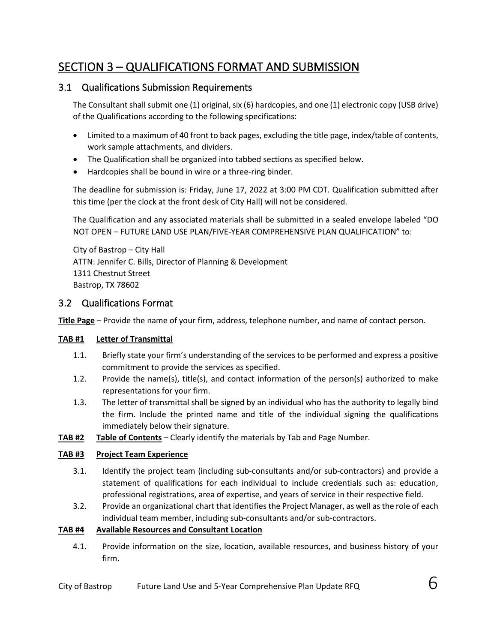# SECTION 3 – QUALIFICATIONS FORMAT AND SUBMISSION

### 3.1 Qualifications Submission Requirements

The Consultant shall submit one (1) original, six (6) hardcopies, and one (1) electronic copy (USB drive) of the Qualifications according to the following specifications:

- Limited to a maximum of 40 front to back pages, excluding the title page, index/table of contents, work sample attachments, and dividers.
- The Qualification shall be organized into tabbed sections as specified below.
- Hardcopies shall be bound in wire or a three-ring binder.

The deadline for submission is: Friday, June 17, 2022 at 3:00 PM CDT. Qualification submitted after this time (per the clock at the front desk of City Hall) will not be considered.

The Qualification and any associated materials shall be submitted in a sealed envelope labeled "DO NOT OPEN – FUTURE LAND USE PLAN/FIVE-YEAR COMPREHENSIVE PLAN QUALIFICATION" to:

City of Bastrop – City Hall ATTN: Jennifer C. Bills, Director of Planning & Development 1311 Chestnut Street Bastrop, TX 78602

### 3.2 Qualifications Format

**Title Page** – Provide the name of your firm, address, telephone number, and name of contact person.

### **TAB #1 Letter of Transmittal**

- 1.1. Briefly state your firm's understanding of the services to be performed and express a positive commitment to provide the services as specified.
- 1.2. Provide the name(s), title(s), and contact information of the person(s) authorized to make representations for your firm.
- 1.3. The letter of transmittal shall be signed by an individual who has the authority to legally bind the firm. Include the printed name and title of the individual signing the qualifications immediately below their signature.
- **TAB #2 Table of Contents** Clearly identify the materials by Tab and Page Number.

#### **TAB #3 Project Team Experience**

- 3.1. Identify the project team (including sub-consultants and/or sub-contractors) and provide a statement of qualifications for each individual to include credentials such as: education, professional registrations, area of expertise, and years of service in their respective field.
- 3.2. Provide an organizational chart that identifies the Project Manager, as well as the role of each individual team member, including sub-consultants and/or sub-contractors.

#### **TAB #4 Available Resources and Consultant Location**

4.1. Provide information on the size, location, available resources, and business history of your firm.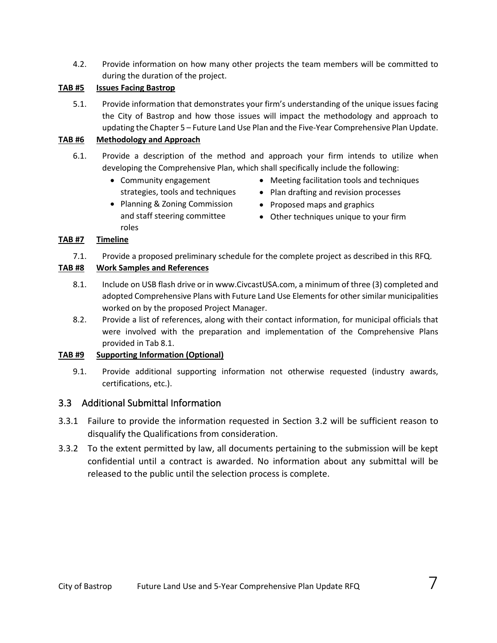4.2. Provide information on how many other projects the team members will be committed to during the duration of the project.

### **TAB #5 Issues Facing Bastrop**

5.1. Provide information that demonstrates your firm's understanding of the unique issues facing the City of Bastrop and how those issues will impact the methodology and approach to updating the Chapter 5 – Future Land Use Plan and the Five-Year Comprehensive Plan Update.

#### **TAB #6 Methodology and Approach**

- 6.1. Provide a description of the method and approach your firm intends to utilize when developing the Comprehensive Plan, which shall specifically include the following:
	- Community engagement strategies, tools and techniques
	- Planning & Zoning Commission and staff steering committee roles
- Meeting facilitation tools and techniques
- Plan drafting and revision processes
- Proposed maps and graphics
- Other techniques unique to your firm

#### **TAB #7 Timeline**

7.1. Provide a proposed preliminary schedule for the complete project as described in this RFQ.

#### **TAB #8 Work Samples and References**

- 8.1. Include on USB flash drive or in www.CivcastUSA.com, a minimum of three (3) completed and adopted Comprehensive Plans with Future Land Use Elements for other similar municipalities worked on by the proposed Project Manager.
- 8.2. Provide a list of references, along with their contact information, for municipal officials that were involved with the preparation and implementation of the Comprehensive Plans provided in Tab 8.1.

### **TAB #9 Supporting Information (Optional)**

9.1. Provide additional supporting information not otherwise requested (industry awards, certifications, etc.).

### 3.3 Additional Submittal Information

- 3.3.1 Failure to provide the information requested in Section 3.2 will be sufficient reason to disqualify the Qualifications from consideration.
- 3.3.2 To the extent permitted by law, all documents pertaining to the submission will be kept confidential until a contract is awarded. No information about any submittal will be released to the public until the selection process is complete.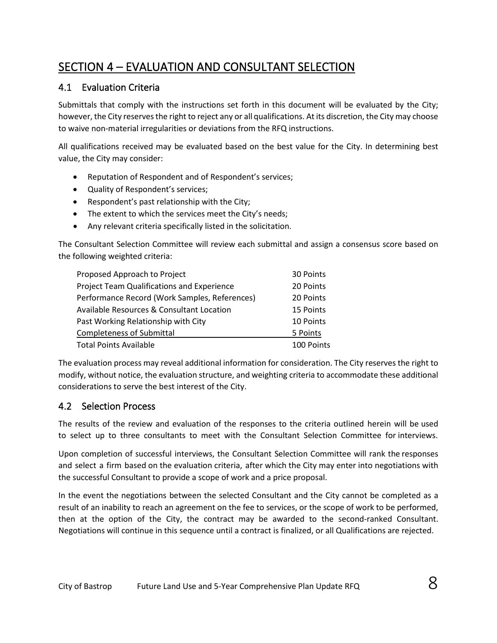# SECTION 4 – EVALUATION AND CONSULTANT SELECTION

# 4.1 Evaluation Criteria

Submittals that comply with the instructions set forth in this document will be evaluated by the City; however, the City reserves the right to reject any or all qualifications. At its discretion, the City may choose to waive non-material irregularities or deviations from the RFQ instructions.

All qualifications received may be evaluated based on the best value for the City. In determining best value, the City may consider:

- Reputation of Respondent and of Respondent's services;
- Quality of Respondent's services;
- Respondent's past relationship with the City;
- The extent to which the services meet the City's needs;
- Any relevant criteria specifically listed in the solicitation.

The Consultant Selection Committee will review each submittal and assign a consensus score based on the following weighted criteria:

| Proposed Approach to Project                      | 30 Points  |
|---------------------------------------------------|------------|
| <b>Project Team Qualifications and Experience</b> | 20 Points  |
| Performance Record (Work Samples, References)     | 20 Points  |
| Available Resources & Consultant Location         | 15 Points  |
| Past Working Relationship with City               | 10 Points  |
| <b>Completeness of Submittal</b>                  | 5 Points   |
| <b>Total Points Available</b>                     | 100 Points |

The evaluation process may reveal additional information for consideration. The City reserves the right to modify, without notice, the evaluation structure, and weighting criteria to accommodate these additional considerations to serve the best interest of the City.

# 4.2 Selection Process

The results of the review and evaluation of the responses to the criteria outlined herein will be used to select up to three consultants to meet with the Consultant Selection Committee for interviews.

Upon completion of successful interviews, the Consultant Selection Committee will rank the responses and select a firm based on the evaluation criteria, after which the City may enter into negotiations with the successful Consultant to provide a scope of work and a price proposal.

In the event the negotiations between the selected Consultant and the City cannot be completed as a result of an inability to reach an agreement on the fee to services, or the scope of work to be performed, then at the option of the City, the contract may be awarded to the second-ranked Consultant. Negotiations will continue in this sequence until a contract is finalized, or all Qualifications are rejected.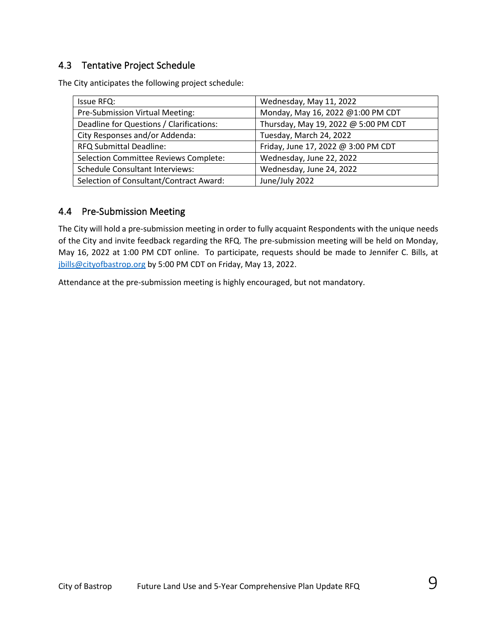### 4.3 Tentative Project Schedule

The City anticipates the following project schedule:

| Issue RFQ:                               | Wednesday, May 11, 2022              |
|------------------------------------------|--------------------------------------|
| Pre-Submission Virtual Meeting:          | Monday, May 16, 2022 @1:00 PM CDT    |
| Deadline for Questions / Clarifications: | Thursday, May 19, 2022 @ 5:00 PM CDT |
| City Responses and/or Addenda:           | Tuesday, March 24, 2022              |
| <b>RFQ Submittal Deadline:</b>           | Friday, June 17, 2022 @ 3:00 PM CDT  |
| Selection Committee Reviews Complete:    | Wednesday, June 22, 2022             |
| <b>Schedule Consultant Interviews:</b>   | Wednesday, June 24, 2022             |
| Selection of Consultant/Contract Award:  | June/July 2022                       |

### 4.4 Pre-Submission Meeting

The City will hold a pre-submission meeting in order to fully acquaint Respondents with the unique needs of the City and invite feedback regarding the RFQ. The pre-submission meeting will be held on Monday, May 16, 2022 at 1:00 PM CDT online. To participate, requests should be made to Jennifer C. Bills, at jbills@cityofbastrop.org by 5:00 PM CDT on Friday, May 13, 2022.

Attendance at the pre-submission meeting is highly encouraged, but not mandatory.